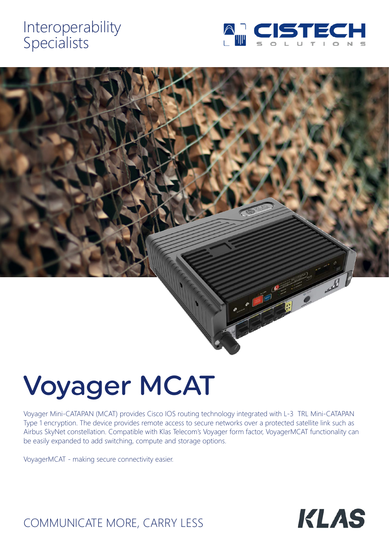# Interoperability Specialists





# Voyager MCAT

Voyager Mini-CATAPAN (MCAT) provides Cisco IOS routing technology integrated with L-3 TRL Mini-CATAPAN Type 1 encryption. The device provides remote access to secure networks over a protected satellite link such as Airbus SkyNet constellation. Compatible with Klas Telecom's Voyager form factor, VoyagerMCAT functionality can be easily expanded to add switching, compute and storage options.

VoyagerMCAT - making secure connectivity easier.



# COMMUNICATE MORE, CARRY LESS